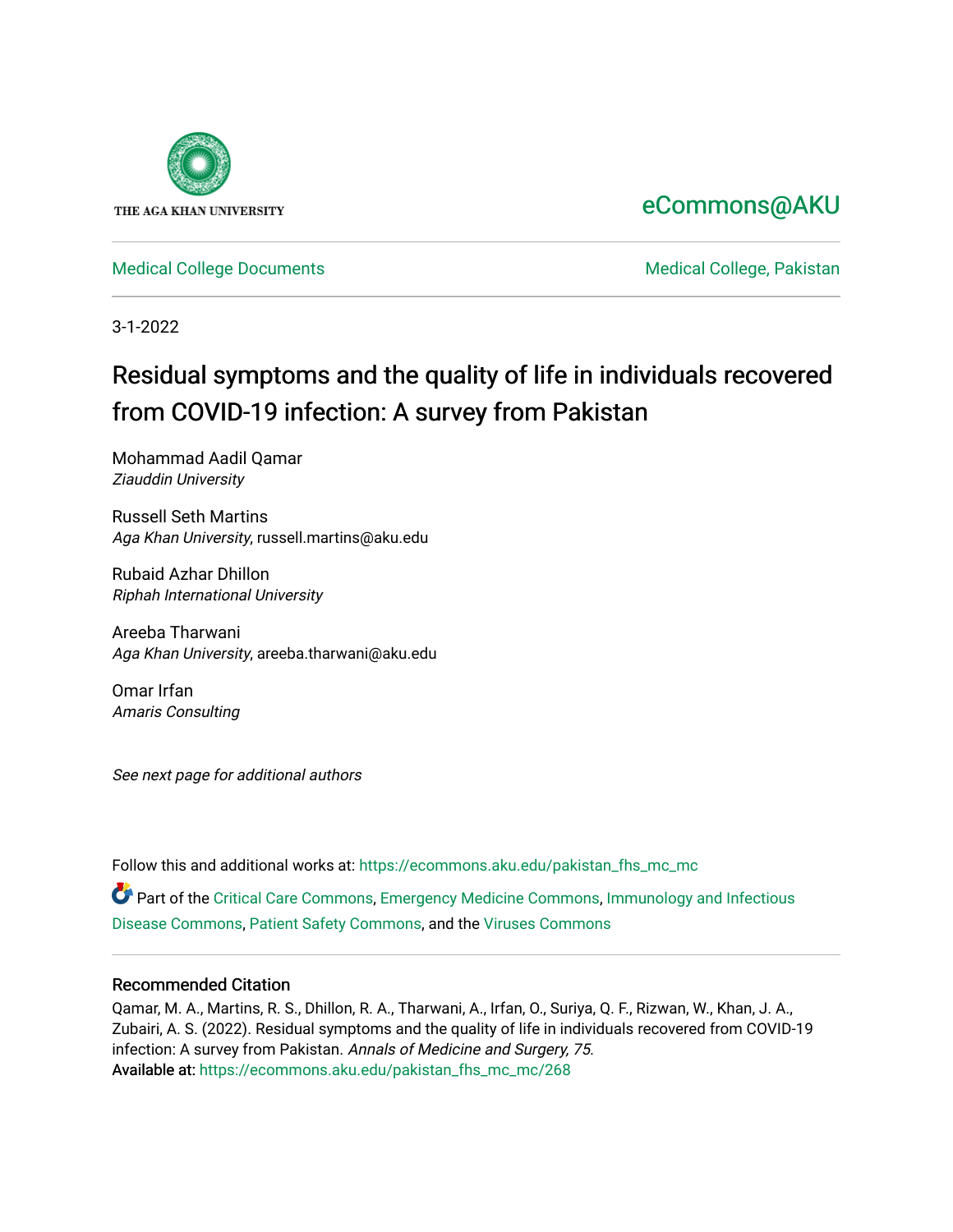

# [eCommons@AKU](https://ecommons.aku.edu/)

[Medical College Documents](https://ecommons.aku.edu/pakistan_fhs_mc_mc) **Medical College, Pakistan** 

3-1-2022

# Residual symptoms and the quality of life in individuals recovered from COVID-19 infection: A survey from Pakistan

Mohammad Aadil Qamar Ziauddin University

Russell Seth Martins Aga Khan University, russell.martins@aku.edu

Rubaid Azhar Dhillon Riphah International University

Areeba Tharwani Aga Khan University, areeba.tharwani@aku.edu

Omar Irfan Amaris Consulting

See next page for additional authors

Follow this and additional works at: [https://ecommons.aku.edu/pakistan\\_fhs\\_mc\\_mc](https://ecommons.aku.edu/pakistan_fhs_mc_mc?utm_source=ecommons.aku.edu%2Fpakistan_fhs_mc_mc%2F268&utm_medium=PDF&utm_campaign=PDFCoverPages) 

Part of the [Critical Care Commons,](http://network.bepress.com/hgg/discipline/1226?utm_source=ecommons.aku.edu%2Fpakistan_fhs_mc_mc%2F268&utm_medium=PDF&utm_campaign=PDFCoverPages) [Emergency Medicine Commons](http://network.bepress.com/hgg/discipline/685?utm_source=ecommons.aku.edu%2Fpakistan_fhs_mc_mc%2F268&utm_medium=PDF&utm_campaign=PDFCoverPages), [Immunology and Infectious](http://network.bepress.com/hgg/discipline/33?utm_source=ecommons.aku.edu%2Fpakistan_fhs_mc_mc%2F268&utm_medium=PDF&utm_campaign=PDFCoverPages) [Disease Commons,](http://network.bepress.com/hgg/discipline/33?utm_source=ecommons.aku.edu%2Fpakistan_fhs_mc_mc%2F268&utm_medium=PDF&utm_campaign=PDFCoverPages) [Patient Safety Commons,](http://network.bepress.com/hgg/discipline/1410?utm_source=ecommons.aku.edu%2Fpakistan_fhs_mc_mc%2F268&utm_medium=PDF&utm_campaign=PDFCoverPages) and the [Viruses Commons](http://network.bepress.com/hgg/discipline/987?utm_source=ecommons.aku.edu%2Fpakistan_fhs_mc_mc%2F268&utm_medium=PDF&utm_campaign=PDFCoverPages) 

### Recommended Citation

Qamar, M. A., Martins, R. S., Dhillon, R. A., Tharwani, A., Irfan, O., Suriya, Q. F., Rizwan, W., Khan, J. A., Zubairi, A. S. (2022). Residual symptoms and the quality of life in individuals recovered from COVID-19 infection: A survey from Pakistan. Annals of Medicine and Surgery, 75. Available at: [https://ecommons.aku.edu/pakistan\\_fhs\\_mc\\_mc/268](https://ecommons.aku.edu/pakistan_fhs_mc_mc/268)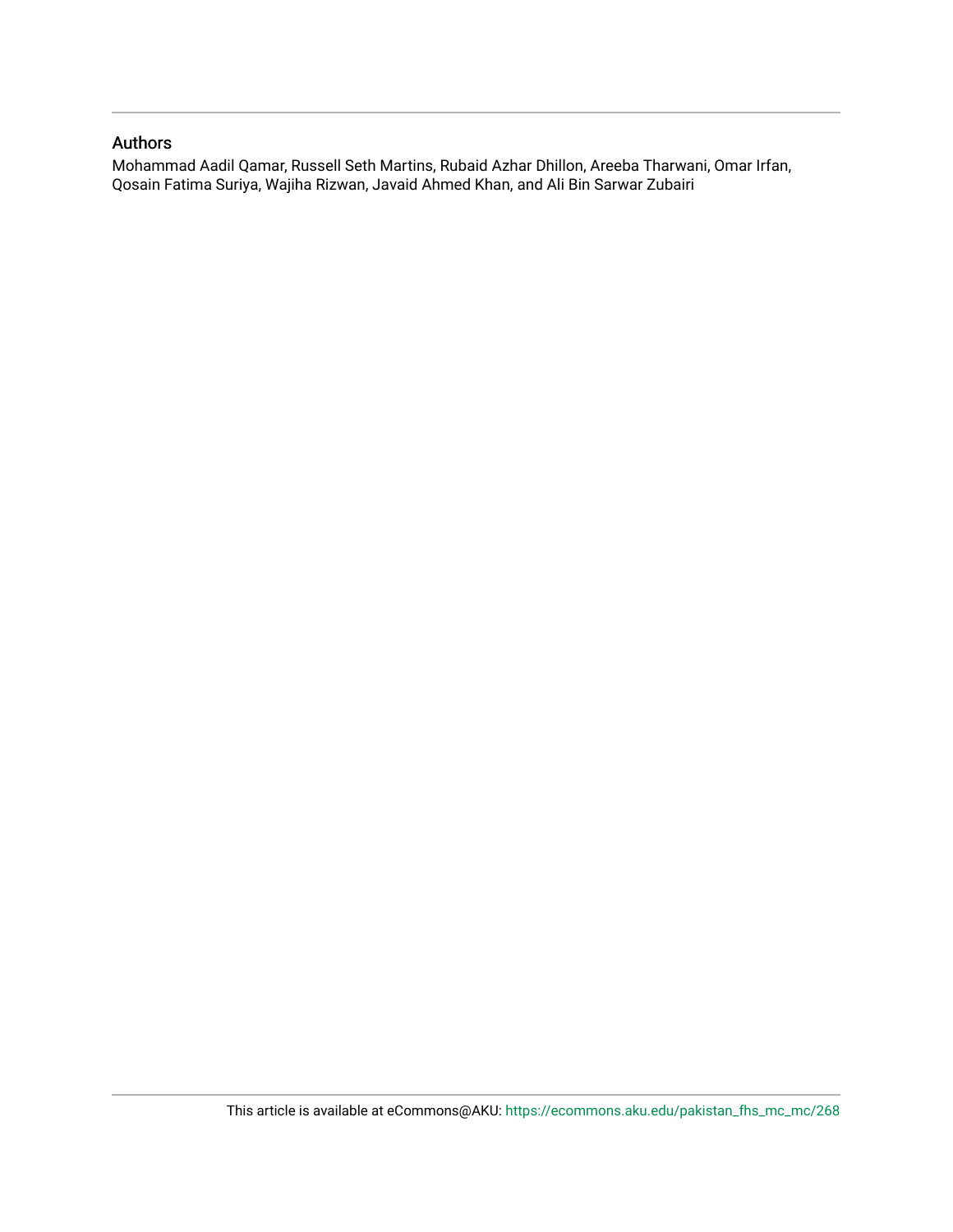### Authors

Mohammad Aadil Qamar, Russell Seth Martins, Rubaid Azhar Dhillon, Areeba Tharwani, Omar Irfan, Qosain Fatima Suriya, Wajiha Rizwan, Javaid Ahmed Khan, and Ali Bin Sarwar Zubairi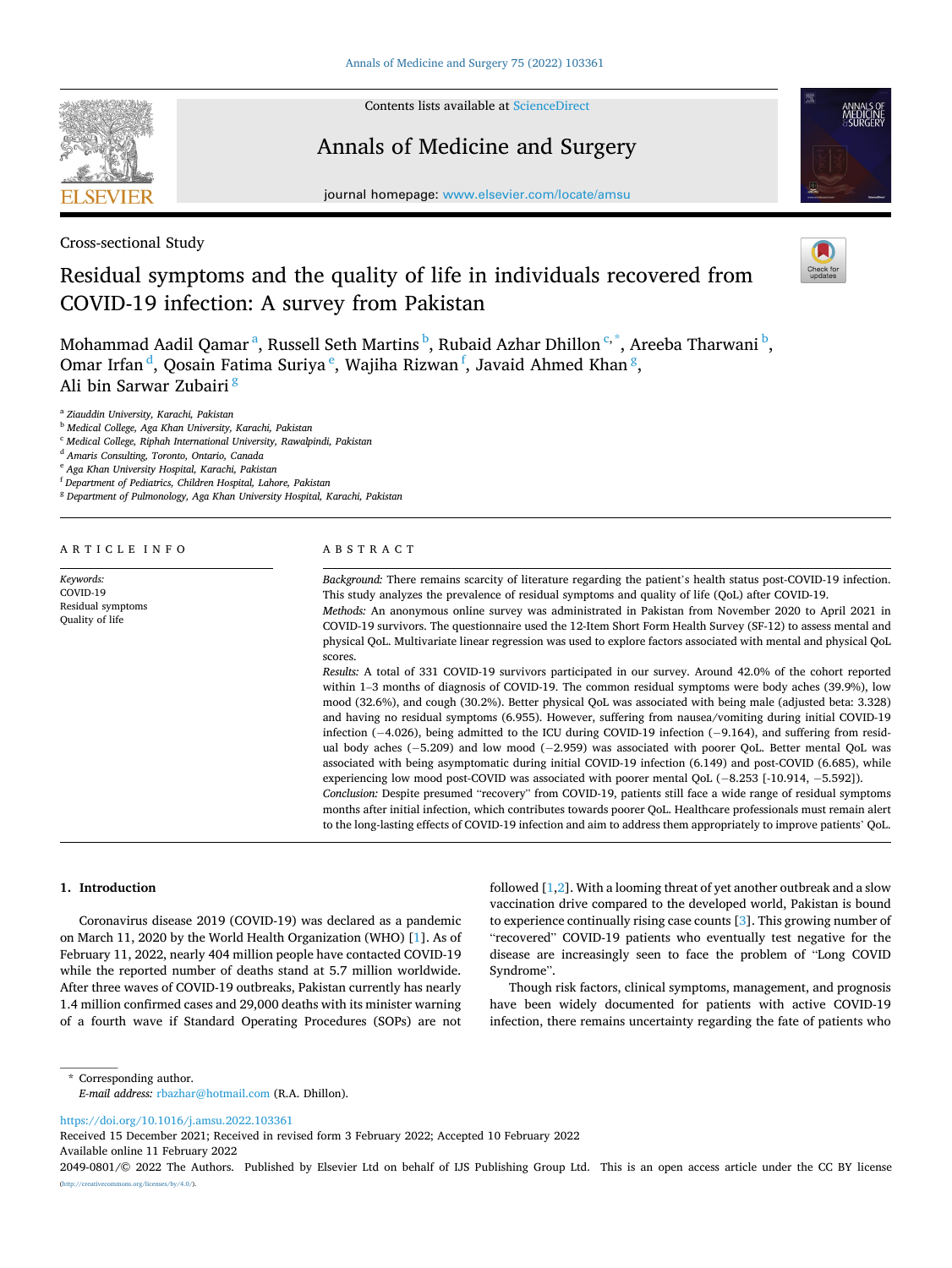

Contents lists available at [ScienceDirect](www.sciencedirect.com/science/journal/20490801)

## Annals of Medicine and Surgery



journal homepage: [www.elsevier.com/locate/amsu](https://www.elsevier.com/locate/amsu) 

Cross-sectional Study

## Residual symptoms and the quality of life in individuals recovered from COVID-19 infection: A survey from Pakistan



Mohammad Aadil Qamar<sup>a</sup>, Russell Seth Martins <sup>b</sup>, Rubaid Azhar Dhillon <sup>c,\*</sup>, Areeba Tharwani <sup>b</sup>, Omar Irfan <sup>d</sup>, Qosain Fatima Suriya <sup>e</sup>, Wajiha Rizwan <sup>f</sup>, Javaid Ahmed Khan <sup>g</sup>, Ali bin Sarwar Zubairi<sup>8</sup>

<sup>a</sup> *Ziauddin University, Karachi, Pakistan* 

<sup>b</sup> *Medical College, Aga Khan University, Karachi, Pakistan* 

<sup>c</sup> *Medical College, Riphah International University, Rawalpindi, Pakistan* 

<sup>d</sup> *Amaris Consulting, Toronto, Ontario, Canada* 

<sup>e</sup> *Aga Khan University Hospital, Karachi, Pakistan* 

<sup>f</sup> *Department of Pediatrics, Children Hospital, Lahore, Pakistan* 

<sup>g</sup> *Department of Pulmonology, Aga Khan University Hospital, Karachi, Pakistan* 

#### ARTICLE INFO

*Keywords:*  COVID-19 Residual symptoms Quality of life

#### ABSTRACT

*Background:* There remains scarcity of literature regarding the patient's health status post-COVID-19 infection. This study analyzes the prevalence of residual symptoms and quality of life (QoL) after COVID-19. *Methods:* An anonymous online survey was administrated in Pakistan from November 2020 to April 2021 in COVID-19 survivors. The questionnaire used the 12-Item Short Form Health Survey (SF-12) to assess mental and physical QoL. Multivariate linear regression was used to explore factors associated with mental and physical QoL scores.

*Results:* A total of 331 COVID-19 survivors participated in our survey. Around 42.0% of the cohort reported within 1–3 months of diagnosis of COVID-19. The common residual symptoms were body aches (39.9%), low mood (32.6%), and cough (30.2%). Better physical QoL was associated with being male (adjusted beta: 3.328) and having no residual symptoms (6.955). However, suffering from nausea/vomiting during initial COVID-19 infection (− 4.026), being admitted to the ICU during COVID-19 infection (− 9.164), and suffering from residual body aches (-5.209) and low mood (-2.959) was associated with poorer QoL. Better mental QoL was associated with being asymptomatic during initial COVID-19 infection (6.149) and post-COVID (6.685), while experiencing low mood post-COVID was associated with poorer mental QoL (−8.253 [-10.914, −5.592]).

*Conclusion:* Despite presumed "recovery" from COVID-19, patients still face a wide range of residual symptoms months after initial infection, which contributes towards poorer QoL. Healthcare professionals must remain alert to the long-lasting effects of COVID-19 infection and aim to address them appropriately to improve patients' QoL.

#### **1. Introduction**

Coronavirus disease 2019 (COVID-19) was declared as a pandemic on March 11, 2020 by the World Health Organization (WHO) [[1](#page-7-0)]. As of February 11, 2022, nearly 404 million people have contacted COVID-19 while the reported number of deaths stand at 5.7 million worldwide. After three waves of COVID-19 outbreaks, Pakistan currently has nearly 1.4 million confirmed cases and 29,000 deaths with its minister warning of a fourth wave if Standard Operating Procedures (SOPs) are not followed  $[1,2]$  $[1,2]$ . With a looming threat of yet another outbreak and a slow vaccination drive compared to the developed world, Pakistan is bound to experience continually rising case counts [[3](#page-7-0)]. This growing number of "recovered" COVID-19 patients who eventually test negative for the disease are increasingly seen to face the problem of "Long COVID Syndrome".

Though risk factors, clinical symptoms, management, and prognosis have been widely documented for patients with active COVID-19 infection, there remains uncertainty regarding the fate of patients who

\* Corresponding author. *E-mail address:* [rbazhar@hotmail.com](mailto:rbazhar@hotmail.com) (R.A. Dhillon).

<https://doi.org/10.1016/j.amsu.2022.103361>

Available online 11 February 2022 Received 15 December 2021; Received in revised form 3 February 2022; Accepted 10 February 2022

<sup>2049-0801/© 2022</sup> The Authors. Published by Elsevier Ltd on behalf of IJS Publishing Group Ltd. This is an open access article under the CC BY license [\(http://creativecommons.org/licenses/by/4.0/](http://creativecommons.org/licenses/by/4.0/)).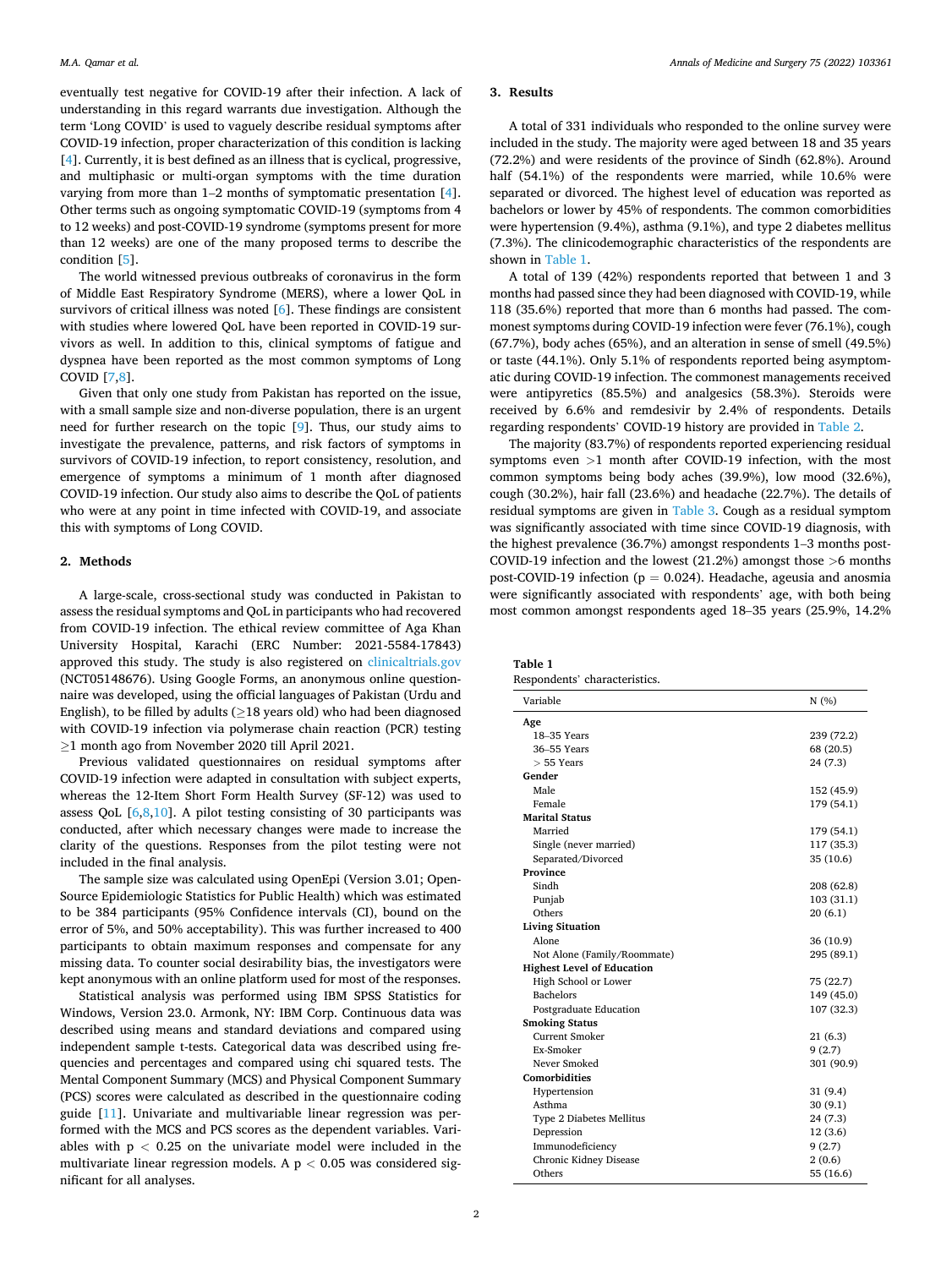eventually test negative for COVID-19 after their infection. A lack of understanding in this regard warrants due investigation. Although the term 'Long COVID' is used to vaguely describe residual symptoms after COVID-19 infection, proper characterization of this condition is lacking [[4](#page-7-0)]. Currently, it is best defined as an illness that is cyclical, progressive, and multiphasic or multi-organ symptoms with the time duration varying from more than 1–2 months of symptomatic presentation [[4](#page-7-0)]. Other terms such as ongoing symptomatic COVID-19 (symptoms from 4 to 12 weeks) and post-COVID-19 syndrome (symptoms present for more than 12 weeks) are one of the many proposed terms to describe the condition [[5](#page-7-0)].

The world witnessed previous outbreaks of coronavirus in the form of Middle East Respiratory Syndrome (MERS), where a lower QoL in survivors of critical illness was noted [\[6\]](#page-8-0). These findings are consistent with studies where lowered QoL have been reported in COVID-19 survivors as well. In addition to this, clinical symptoms of fatigue and dyspnea have been reported as the most common symptoms of Long COVID [[7,8\]](#page-8-0).

Given that only one study from Pakistan has reported on the issue, with a small sample size and non-diverse population, there is an urgent need for further research on the topic [[9](#page-8-0)]. Thus, our study aims to investigate the prevalence, patterns, and risk factors of symptoms in survivors of COVID-19 infection, to report consistency, resolution, and emergence of symptoms a minimum of 1 month after diagnosed COVID-19 infection. Our study also aims to describe the QoL of patients who were at any point in time infected with COVID-19, and associate this with symptoms of Long COVID.

#### **2. Methods**

A large-scale, cross-sectional study was conducted in Pakistan to assess the residual symptoms and QoL in participants who had recovered from COVID-19 infection. The ethical review committee of Aga Khan University Hospital, Karachi (ERC Number: 2021-5584-17843) approved this study. The study is also registered on [clinicaltrials.gov](http://clinicaltrials.gov)  (NCT05148676). Using Google Forms, an anonymous online questionnaire was developed, using the official languages of Pakistan (Urdu and English), to be filled by adults ( $\geq$ 18 years old) who had been diagnosed with COVID-19 infection via polymerase chain reaction (PCR) testing ≥1 month ago from November 2020 till April 2021.

Previous validated questionnaires on residual symptoms after COVID-19 infection were adapted in consultation with subject experts, whereas the 12-Item Short Form Health Survey (SF-12) was used to assess QoL  $[6,8,10]$  $[6,8,10]$  $[6,8,10]$ . A pilot testing consisting of 30 participants was conducted, after which necessary changes were made to increase the clarity of the questions. Responses from the pilot testing were not included in the final analysis.

The sample size was calculated using OpenEpi (Version 3.01; Open-Source Epidemiologic Statistics for Public Health) which was estimated to be 384 participants (95% Confidence intervals (CI), bound on the error of 5%, and 50% acceptability). This was further increased to 400 participants to obtain maximum responses and compensate for any missing data. To counter social desirability bias, the investigators were kept anonymous with an online platform used for most of the responses.

Statistical analysis was performed using IBM SPSS Statistics for Windows, Version 23.0. Armonk, NY: IBM Corp. Continuous data was described using means and standard deviations and compared using independent sample t-tests. Categorical data was described using frequencies and percentages and compared using chi squared tests. The Mental Component Summary (MCS) and Physical Component Summary (PCS) scores were calculated as described in the questionnaire coding guide [[11\]](#page-8-0). Univariate and multivariable linear regression was performed with the MCS and PCS scores as the dependent variables. Variables with p *<* 0.25 on the univariate model were included in the multivariate linear regression models. A p *<* 0.05 was considered significant for all analyses.

#### **3. Results**

A total of 331 individuals who responded to the online survey were included in the study. The majority were aged between 18 and 35 years (72.2%) and were residents of the province of Sindh (62.8%). Around half (54.1%) of the respondents were married, while 10.6% were separated or divorced. The highest level of education was reported as bachelors or lower by 45% of respondents. The common comorbidities were hypertension (9.4%), asthma (9.1%), and type 2 diabetes mellitus (7.3%). The clinicodemographic characteristics of the respondents are shown in Table 1.

A total of 139 (42%) respondents reported that between 1 and 3 months had passed since they had been diagnosed with COVID-19, while 118 (35.6%) reported that more than 6 months had passed. The commonest symptoms during COVID-19 infection were fever (76.1%), cough (67.7%), body aches (65%), and an alteration in sense of smell (49.5%) or taste (44.1%). Only 5.1% of respondents reported being asymptomatic during COVID-19 infection. The commonest managements received were antipyretics (85.5%) and analgesics (58.3%). Steroids were received by 6.6% and remdesivir by 2.4% of respondents. Details regarding respondents' COVID-19 history are provided in [Table 2.](#page-4-0)

The majority (83.7%) of respondents reported experiencing residual symptoms even *>*1 month after COVID-19 infection, with the most common symptoms being body aches (39.9%), low mood (32.6%), cough (30.2%), hair fall (23.6%) and headache (22.7%). The details of residual symptoms are given in [Table 3.](#page-4-0) Cough as a residual symptom was significantly associated with time since COVID-19 diagnosis, with the highest prevalence (36.7%) amongst respondents 1–3 months post-COVID-19 infection and the lowest (21.2%) amongst those *>*6 months post-COVID-19 infection ( $p = 0.024$ ). Headache, ageusia and anosmia were significantly associated with respondents' age, with both being most common amongst respondents aged 18–35 years (25.9%, 14.2%

| Table 1 |                               |
|---------|-------------------------------|
|         | Respondents' characteristics. |

| Variable                          | N(%        |
|-----------------------------------|------------|
| Age                               |            |
| 18-35 Years                       | 239 (72.2) |
| 36-55 Years                       | 68 (20.5)  |
| $> 55$ Years                      | 24(7.3)    |
| Gender                            |            |
| Male                              | 152 (45.9) |
| Female                            | 179 (54.1) |
| <b>Marital Status</b>             |            |
| Married                           | 179 (54.1) |
| Single (never married)            | 117 (35.3) |
| Separated/Divorced                | 35 (10.6)  |
| Province                          |            |
| Sindh                             | 208 (62.8) |
| Punjab                            | 103 (31.1) |
| Others                            | 20(6.1)    |
| <b>Living Situation</b>           |            |
| Alone                             | 36 (10.9)  |
| Not Alone (Family/Roommate)       | 295 (89.1) |
| <b>Highest Level of Education</b> |            |
| High School or Lower              | 75 (22.7)  |
| <b>Bachelors</b>                  | 149 (45.0) |
| Postgraduate Education            | 107 (32.3) |
| <b>Smoking Status</b>             |            |
| <b>Current Smoker</b>             | 21(6.3)    |
| Ex-Smoker                         | 9(2.7)     |
| Never Smoked                      | 301 (90.9) |
| Comorbidities                     |            |
| Hypertension                      | 31 (9.4)   |
| Asthma                            | 30(9.1)    |
| Type 2 Diabetes Mellitus          | 24(7.3)    |
| Depression                        | 12(3.6)    |
| Immunodeficiency                  | 9(2.7)     |
| Chronic Kidney Disease            | 2(0.6)     |
| Others                            | 55 (16.6)  |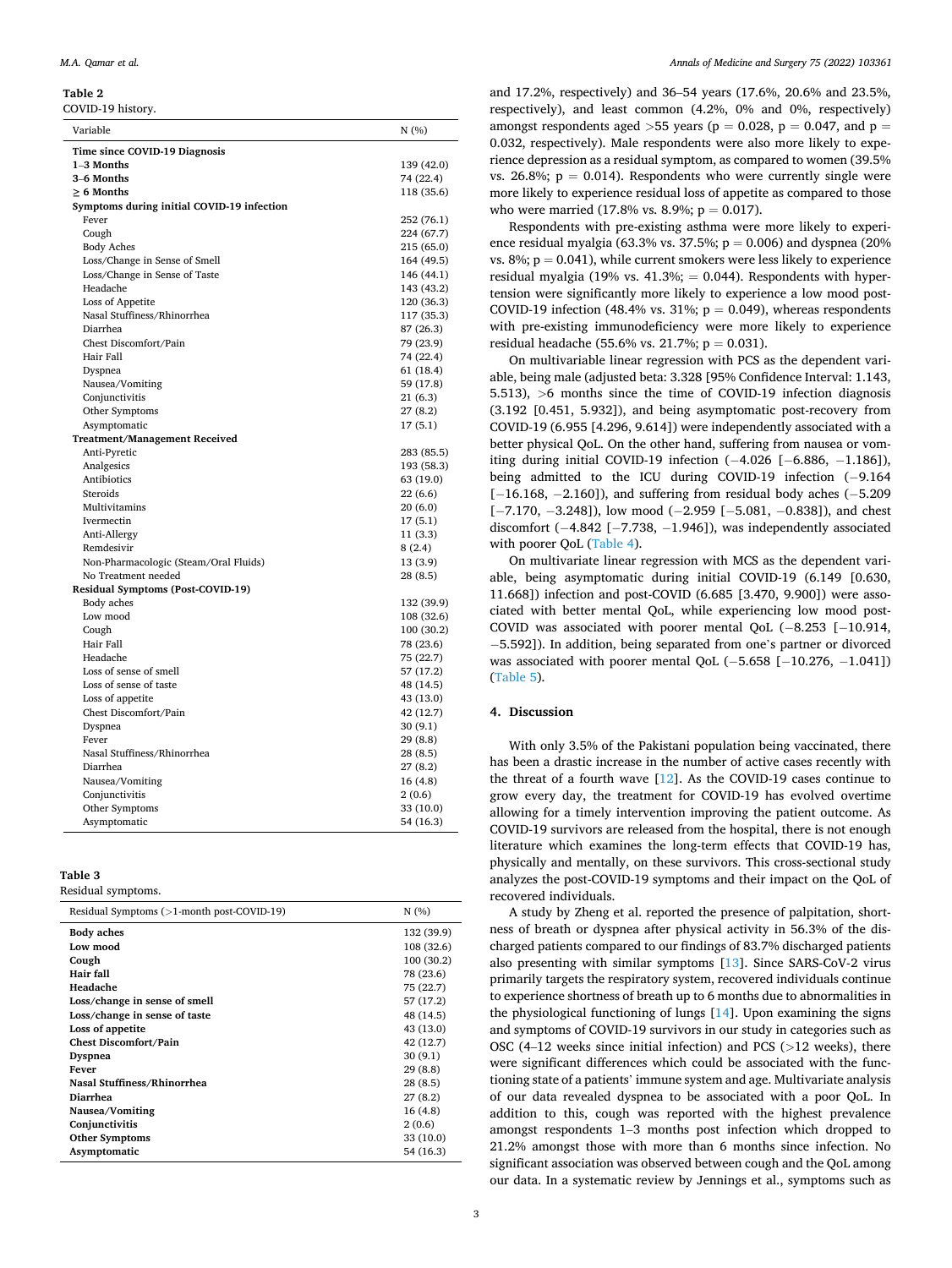#### <span id="page-4-0"></span>**Table 2**

COVID-19 history.

| Variable                                                     | N(%)       |
|--------------------------------------------------------------|------------|
| Time since COVID-19 Diagnosis                                |            |
| $1-3$ Months                                                 | 139 (42.0) |
| 3-6 Months                                                   | 74 (22.4)  |
| $\geq 6$ Months                                              | 118 (35.6) |
| Symptoms during initial COVID-19 infection                   |            |
| Fever                                                        | 252 (76.1) |
| Cough                                                        | 224 (67.7) |
| <b>Body Aches</b>                                            | 215 (65.0) |
| Loss/Change in Sense of Smell                                | 164 (49.5) |
| Loss/Change in Sense of Taste                                | 146 (44.1) |
| Headache                                                     | 143 (43.2) |
| Loss of Appetite                                             | 120 (36.3) |
| Nasal Stuffiness/Rhinorrhea                                  | 117 (35.3) |
| Diarrhea                                                     | 87 (26.3)  |
| Chest Discomfort/Pain                                        | 79 (23.9)  |
| Hair Fall                                                    | 74 (22.4)  |
| Dyspnea                                                      | 61 (18.4)  |
| Nausea/Vomiting                                              | 59 (17.8)  |
| Conjunctivitis                                               | 21(6.3)    |
| Other Symptoms                                               | 27(8.2)    |
| Asymptomatic                                                 | 17(5.1)    |
| <b>Treatment/Management Received</b>                         |            |
| Anti-Pyretic                                                 | 283 (85.5) |
| Analgesics                                                   | 193 (58.3) |
| Antibiotics                                                  | 63 (19.0)  |
| Steroids                                                     | 22 (6.6)   |
| Multivitamins                                                | 20(6.0)    |
| Ivermectin                                                   | 17 (5.1)   |
| Anti-Allergy                                                 | 11(3.3)    |
| Remdesivir                                                   | 8(2.4)     |
| Non-Pharmacologic (Steam/Oral Fluids)<br>No Treatment needed | 13 (3.9)   |
|                                                              | 28 (8.5)   |
| <b>Residual Symptoms (Post-COVID-19)</b><br>Body aches       | 132 (39.9) |
| Low mood                                                     | 108 (32.6) |
| Cough                                                        | 100 (30.2) |
| Hair Fall                                                    | 78 (23.6)  |
| Headache                                                     | 75 (22.7)  |
| Loss of sense of smell                                       | 57 (17.2)  |
| Loss of sense of taste                                       | 48 (14.5)  |
| Loss of appetite                                             | 43 (13.0)  |
| Chest Discomfort/Pain                                        | 42 (12.7)  |
| Dyspnea                                                      | 30(9.1)    |
| Fever                                                        | 29(8.8)    |
| Nasal Stuffiness/Rhinorrhea                                  | 28(8.5)    |
| Diarrhea                                                     | 27 (8.2)   |
| Nausea/Vomiting                                              | 16(4.8)    |
| Conjunctivitis                                               | 2(0.6)     |
| Other Symptoms                                               | 33 (10.0)  |
| Asymptomatic                                                 | 54 (16.3)  |
|                                                              |            |

**Table 3** 

Residual symptoms.

| Residual Symptoms $(>1$ -month post-COVID-19) | N(% )      |
|-----------------------------------------------|------------|
| <b>Body aches</b>                             | 132 (39.9) |
| Low mood                                      | 108 (32.6) |
| Cough                                         | 100 (30.2) |
| Hair fall                                     | 78 (23.6)  |
| Headache                                      | 75 (22.7)  |
| Loss/change in sense of smell                 | 57 (17.2)  |
| Loss/change in sense of taste                 | 48 (14.5)  |
| Loss of appetite                              | 43 (13.0)  |
| <b>Chest Discomfort/Pain</b>                  | 42 (12.7)  |
| Dyspnea                                       | 30(9.1)    |
| Fever                                         | 29 (8.8)   |
| Nasal Stuffiness/Rhinorrhea                   | 28 (8.5)   |
| Diarrhea                                      | 27 (8.2)   |
| Nausea/Vomiting                               | 16(4.8)    |
| Conjunctivitis                                | 2(0.6)     |
| Other Symptoms                                | 33 (10.0)  |
| Asymptomatic                                  | 54 (16.3)  |

and 17.2%, respectively) and 36–54 years (17.6%, 20.6% and 23.5%, respectively), and least common (4.2%, 0% and 0%, respectively) amongst respondents aged  $>55$  years ( $p = 0.028$ ,  $p = 0.047$ , and  $p =$ 0.032, respectively). Male respondents were also more likely to experience depression as a residual symptom, as compared to women (39.5% vs. 26.8%;  $p = 0.014$ ). Respondents who were currently single were more likely to experience residual loss of appetite as compared to those who were married (17.8% vs. 8.9%;  $p = 0.017$ ).

Respondents with pre-existing asthma were more likely to experience residual myalgia (63.3% vs. 37.5%;  $p = 0.006$ ) and dyspnea (20%) vs. 8%;  $p = 0.041$ ), while current smokers were less likely to experience residual myalgia (19% vs.  $41.3\%$ ; = 0.044). Respondents with hypertension were significantly more likely to experience a low mood post-COVID-19 infection (48.4% vs. 31%;  $p = 0.049$ ), whereas respondents with pre-existing immunodeficiency were more likely to experience residual headache (55.6% vs. 21.7%;  $p = 0.031$ ).

On multivariable linear regression with PCS as the dependent variable, being male (adjusted beta: 3.328 [95% Confidence Interval: 1.143, 5.513), *>*6 months since the time of COVID-19 infection diagnosis (3.192 [0.451, 5.932]), and being asymptomatic post-recovery from COVID-19 (6.955 [4.296, 9.614]) were independently associated with a better physical QoL. On the other hand, suffering from nausea or vomiting during initial COVID-19 infection (-4.026 [-6.886, -1.186]), being admitted to the ICU during COVID-19 infection (-9.164 [− 16.168, − 2.160]), and suffering from residual body aches (− 5.209 [-7.170, -3.248]), low mood (-2.959 [-5.081, -0.838]), and chest discomfort (− 4.842 [− 7.738, − 1.946]), was independently associated with poorer QoL [\(Table 4\)](#page-5-0).

On multivariate linear regression with MCS as the dependent variable, being asymptomatic during initial COVID-19 (6.149 [0.630, 11.668]) infection and post-COVID (6.685 [3.470, 9.900]) were associated with better mental QoL, while experiencing low mood post-COVID was associated with poorer mental QoL (− 8.253 [− 10.914, − 5.592]). In addition, being separated from one's partner or divorced was associated with poorer mental QoL (-5.658 [-10.276, -1.041]) ([Table 5](#page-6-0)).

#### **4. Discussion**

With only 3.5% of the Pakistani population being vaccinated, there has been a drastic increase in the number of active cases recently with the threat of a fourth wave [[12\]](#page-8-0). As the COVID-19 cases continue to grow every day, the treatment for COVID-19 has evolved overtime allowing for a timely intervention improving the patient outcome. As COVID-19 survivors are released from the hospital, there is not enough literature which examines the long-term effects that COVID-19 has, physically and mentally, on these survivors. This cross-sectional study analyzes the post-COVID-19 symptoms and their impact on the QoL of recovered individuals.

A study by Zheng et al. reported the presence of palpitation, shortness of breath or dyspnea after physical activity in 56.3% of the discharged patients compared to our findings of 83.7% discharged patients also presenting with similar symptoms [[13\]](#page-8-0). Since SARS-CoV-2 virus primarily targets the respiratory system, recovered individuals continue to experience shortness of breath up to 6 months due to abnormalities in the physiological functioning of lungs [[14\]](#page-8-0). Upon examining the signs and symptoms of COVID-19 survivors in our study in categories such as OSC (4–12 weeks since initial infection) and PCS (*>*12 weeks), there were significant differences which could be associated with the functioning state of a patients' immune system and age. Multivariate analysis of our data revealed dyspnea to be associated with a poor QoL. In addition to this, cough was reported with the highest prevalence amongst respondents 1–3 months post infection which dropped to 21.2% amongst those with more than 6 months since infection. No significant association was observed between cough and the QoL among our data. In a systematic review by Jennings et al., symptoms such as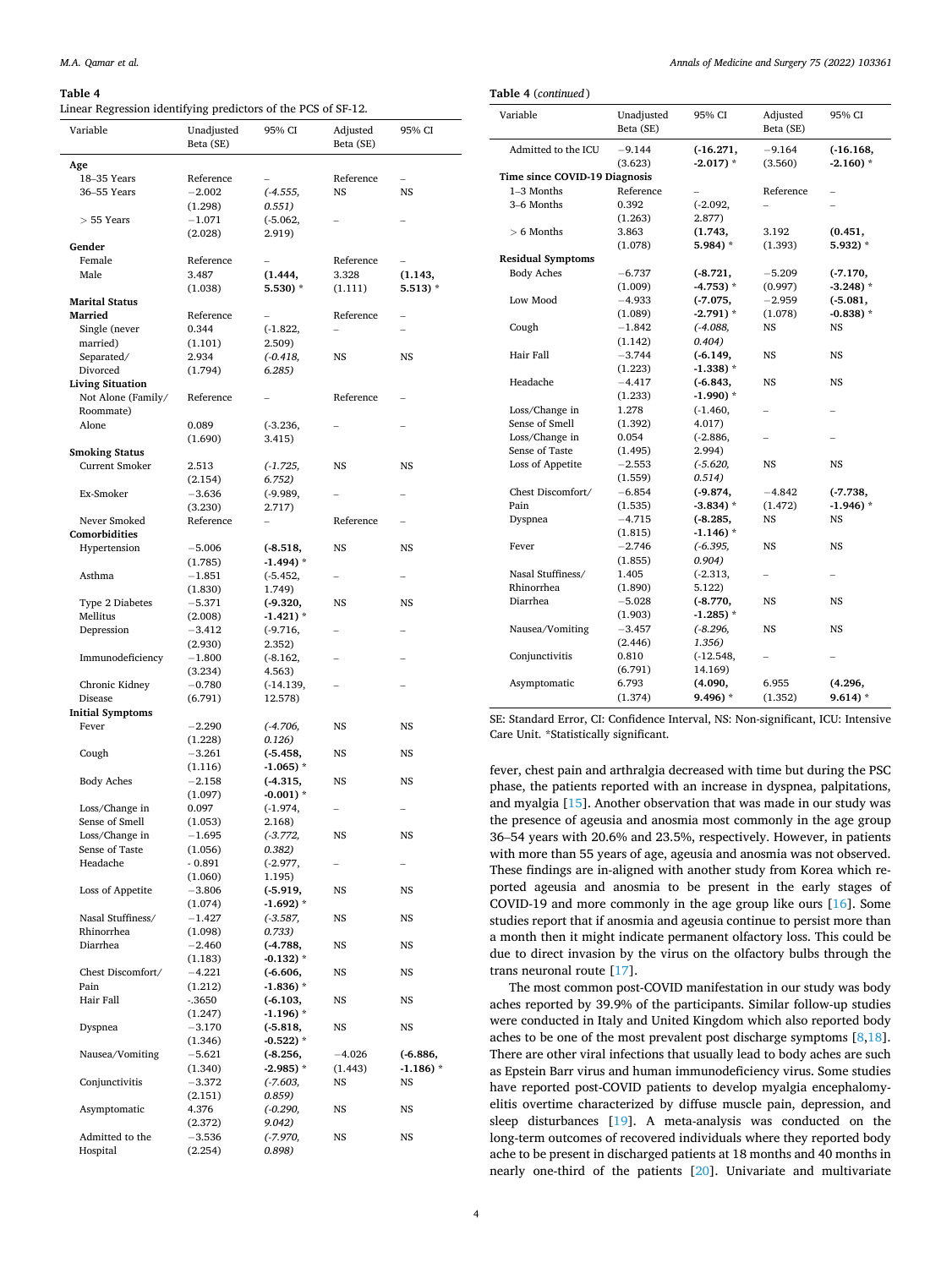#### <span id="page-5-0"></span>**Table 4**

Linear Regression identifying predictors of the PCS of SF-12.

|                         | $\mathbf{v}$ r          |                |                          |             |
|-------------------------|-------------------------|----------------|--------------------------|-------------|
| Variable                | Unadjusted<br>Beta (SE) | 95% CI         | Adjusted<br>Beta (SE)    | 95% CI      |
|                         |                         |                |                          |             |
| Age                     |                         |                |                          |             |
| 18-35 Years             | Reference               |                | Reference                |             |
| 36-55 Years             | $-2.002$                | $(-4.555,$     | NS                       | <b>NS</b>   |
|                         | (1.298)                 | 0.551)         |                          |             |
| $> 55$ Years            | $-1.071$                | $(-5.062,$     |                          |             |
|                         | (2.028)                 | 2.919)         |                          |             |
| Gender                  |                         |                |                          |             |
| Female                  | Reference               |                | Reference                |             |
| Male                    | 3.487                   | (1.444,        | 3.328                    |             |
|                         |                         |                |                          | (1.143,     |
|                         | (1.038)                 | 5.530) $*$     | (1.111)                  | $5.513)$ *  |
| <b>Marital Status</b>   |                         |                |                          |             |
| Married                 | Reference               |                | Reference                |             |
| Single (never           | 0.344                   | $(-1.822,$     |                          |             |
| married)                | (1.101)                 | 2.509)         |                          |             |
| Separated/              | 2.934                   | $(-0.418,$     | NS                       | NS          |
|                         |                         |                |                          |             |
| Divorced                | (1.794)                 | 6.285)         |                          |             |
| <b>Living Situation</b> |                         |                |                          |             |
| Not Alone (Family/      | Reference               |                | Reference                |             |
| Roommate)               |                         |                |                          |             |
| Alone                   | 0.089                   | $(-3.236,$     |                          |             |
|                         | (1.690)                 | 3.415)         |                          |             |
|                         |                         |                |                          |             |
| <b>Smoking Status</b>   |                         |                |                          |             |
| <b>Current Smoker</b>   | 2.513                   | $(-1.725,$     | NS                       | NS          |
|                         | (2.154)                 | 6.752)         |                          |             |
| Ex-Smoker               | $-3.636$                | (-9.989,       |                          |             |
|                         | (3.230)                 | 2.717)         |                          |             |
| Never Smoked            | Reference               | $\overline{a}$ | Reference                |             |
| Comorbidities           |                         |                |                          |             |
|                         |                         |                |                          |             |
| Hypertension            | $-5.006$                | $(-8.518,$     | NS                       | NS          |
|                         | (1.785)                 | $-1.494)$ *    |                          |             |
| Asthma                  | $^{-1.851}$             | $(-5.452,$     |                          |             |
|                         | (1.830)                 | 1.749)         |                          |             |
| Type 2 Diabetes         | $-5.371$                | $(-9.320,$     | NS                       | NS          |
| Mellitus                | (2.008)                 | $-1.421$ ) *   |                          |             |
| Depression              | -3.412                  | $(-9.716,$     |                          |             |
|                         |                         |                |                          |             |
|                         | (2.930)                 | 2.352)         |                          |             |
| Immunodeficiency        | $^{-1.800}$             | (-8.162,       |                          |             |
|                         | (3.234)                 | 4.563)         |                          |             |
| Chronic Kidney          | $-0.780$                | (-14.139,      | $\overline{\phantom{0}}$ |             |
| Disease                 | (6.791)                 | 12.578)        |                          |             |
| <b>Initial Symptoms</b> |                         |                |                          |             |
| Fever                   | $-2.290$                | (-4.706,       | NS                       | NS          |
|                         |                         | 0.126)         |                          |             |
|                         | (1.228)                 |                |                          |             |
| Cough                   | $-3.261$                | $(-5.458,$     | NS                       | NS          |
|                         | (1.116)                 | $-1.065$ ) *   |                          |             |
| <b>Body Aches</b>       | $-2.158$                | $(-4.315,$     | NS                       | NS          |
|                         | (1.097)                 | $-0.001$ *     |                          |             |
| Loss/Change in          | 0.097                   | $(-1.974,$     |                          |             |
| Sense of Smell          | (1.053)                 | 2.168)         |                          |             |
| Loss/Change in          | $-1.695$                | $(-3.772,$     | NS                       | NS          |
|                         |                         |                |                          |             |
| Sense of Taste          | (1.056)                 | 0.382)         |                          |             |
| Headache                | - 0.891                 | $(-2.977,$     | $\overline{a}$           | -           |
|                         | (1.060)                 | 1.195)         |                          |             |
| Loss of Appetite        | $-3.806$                | $(-5.919,$     | NS                       | NS          |
|                         | (1.074)                 | $-1.692$ ) *   |                          |             |
| Nasal Stuffiness/       | $-1.427$                | $(-3.587,$     | NS                       | NS          |
| Rhinorrhea              | (1.098)                 | 0.733)         |                          |             |
| Diarrhea                |                         |                |                          |             |
|                         | $-2.460$                | $(-4.788,$     | NS                       | NS          |
|                         | (1.183)                 | $-0.132)$ *    |                          |             |
| Chest Discomfort/       | $-4.221$                | $(-6.606,$     | NS                       | NS          |
| Pain                    | (1.212)                 | $-1.836$ ) *   |                          |             |
| Hair Fall               | - 3650                  | $(-6.103,$     | NS                       | NS          |
|                         | (1.247)                 | $-1.196$ ) *   |                          |             |
| Dyspnea                 | $-3.170$                | $(-5.818,$     | NS                       | NS          |
|                         |                         |                |                          |             |
|                         | (1.346)                 | $-0.522)$ *    |                          |             |
| Nausea/Vomiting         | $-5.621$                | $(-8.256,$     | $-4.026$                 | $(-6.886,$  |
|                         | (1.340)                 | $-2.985$ ) *   | (1.443)                  | $-1.186) *$ |
| Conjunctivitis          | $-3.372$                | $(-7.603,$     | NS                       | NS          |
|                         | (2.151)                 | 0.859)         |                          |             |
| Asymptomatic            | 4.376                   | $(-0.290,$     | NS                       | NS          |
|                         | (2.372)                 | 9.042)         |                          |             |
| Admitted to the         | $-3.536$                | (-7.970,       | NS                       | NS          |
| Hospital                | (2.254)                 | 0.898)         |                          |             |
|                         |                         |                |                          |             |

| Variable                      | Unadjusted<br>Beta (SE) | 95% CI                | Adjusted<br>Beta (SE) | 95% CI       |
|-------------------------------|-------------------------|-----------------------|-----------------------|--------------|
| Admitted to the ICU           | $-9.144$                | $(-16.271,$           | $-9.164$              | $(-16.168,$  |
|                               | (3.623)                 | $-2.017$ ) *          | (3.560)               | $-2.160$ ) * |
| Time since COVID-19 Diagnosis |                         |                       |                       |              |
| 1-3 Months                    | Reference               |                       | Reference             |              |
| 3-6 Months                    | 0.392                   | $(-2.092,$            |                       |              |
|                               | (1.263)                 | 2.877)                |                       |              |
| $> 6$ Months                  | 3.863                   | (1.743,               | 3.192                 | (0.451,      |
|                               | (1.078)                 | 5.984) $*$            | (1.393)               | 5.932) *     |
| <b>Residual Symptoms</b>      |                         |                       |                       |              |
| <b>Body Aches</b>             | $-6.737$                | $(-8.721,$            | $-5.209$              | $(-7.170,$   |
|                               | (1.009)                 | $-4.753$ ) *          | (0.997)               | $-3.248$ ) * |
| Low Mood                      | $-4.933$                | $(-7.075,$            | $-2.959$              | $(-5.081,$   |
|                               | (1.089)                 | $-2.791$ *            | (1.078)               | $-0.838) *$  |
| Cough                         | $-1.842$                | $(-4.088,$            | <b>NS</b>             | NS           |
|                               | (1.142)                 | 0.404)                |                       |              |
| Hair Fall                     | $-3.744$                | $(-6.149,$            | <b>NS</b>             | NS.          |
|                               | (1.223)                 | $-1.338$ ) *          |                       |              |
| Headache                      | $-4.417$                | $(-6.843,$            | <b>NS</b>             | NS           |
|                               | (1.233)                 | $-1.990$ ) *          |                       |              |
| Loss/Change in                | 1.278                   | $(-1.460,$            |                       |              |
| Sense of Smell                | (1.392)                 | 4.017)                |                       |              |
| Loss/Change in                | 0.054                   | $(-2.886,$            |                       |              |
| Sense of Taste                | (1.495)                 | 2.994)                |                       |              |
| Loss of Appetite              | $-2.553$                | $(-5.620,$            | <b>NS</b>             | NS           |
|                               | (1.559)                 | 0.514)                |                       |              |
| Chest Discomfort/             | $-6.854$                | $(-9.874,$            | $-4.842$              | $(-7.738,$   |
| Pain                          | (1.535)                 | $-3.834)$ *           | (1.472)               | -1.946) *    |
| Dyspnea                       | $-4.715$                | $(-8.285,$            | NS                    | NS.          |
|                               | (1.815)                 | $-1.146$ <sup>*</sup> |                       |              |
| Fever                         | $-2.746$                | $(-6.395,$            | <b>NS</b>             | NS           |
|                               | (1.855)                 | 0.904)                |                       |              |
| Nasal Stuffiness/             | 1.405                   | $(-2.313,$            |                       |              |
| Rhinorrhea                    | (1.890)                 | 5.122)                |                       |              |
| Diarrhea                      | $-5.028$                | $(-8.770,$            | NS                    | NS           |
|                               | (1.903)                 | $-1.285$ ) *          |                       |              |
| Nausea/Vomiting               | $-3.457$                | $(-8.296,$            | <b>NS</b>             | NS           |
|                               | (2.446)                 | 1.356)                |                       |              |
| Conjunctivitis                | 0.810                   | $(-12.548,$           |                       |              |
|                               | (6.791)                 | 14.169)               |                       |              |
| Asymptomatic                  | 6.793                   | (4.090,               | 6.955                 | (4.296,      |
|                               | (1.374)                 | $9.496$ <sup>*</sup>  | (1.352)               | $9.614)$ *   |

SE: Standard Error, CI: Confidence Interval, NS: Non-significant, ICU: Intensive Care Unit. \*Statistically significant.

fever, chest pain and arthralgia decreased with time but during the PSC phase, the patients reported with an increase in dyspnea, palpitations, and myalgia [\[15](#page-8-0)]. Another observation that was made in our study was the presence of ageusia and anosmia most commonly in the age group 36–54 years with 20.6% and 23.5%, respectively. However, in patients with more than 55 years of age, ageusia and anosmia was not observed. These findings are in-aligned with another study from Korea which reported ageusia and anosmia to be present in the early stages of COVID-19 and more commonly in the age group like ours [\[16](#page-8-0)]. Some studies report that if anosmia and ageusia continue to persist more than a month then it might indicate permanent olfactory loss. This could be due to direct invasion by the virus on the olfactory bulbs through the trans neuronal route [[17\]](#page-8-0).

The most common post-COVID manifestation in our study was body aches reported by 39.9% of the participants. Similar follow-up studies were conducted in Italy and United Kingdom which also reported body aches to be one of the most prevalent post discharge symptoms [\[8,18](#page-8-0)]. There are other viral infections that usually lead to body aches are such as Epstein Barr virus and human immunodeficiency virus. Some studies have reported post-COVID patients to develop myalgia encephalomyelitis overtime characterized by diffuse muscle pain, depression, and sleep disturbances [[19\]](#page-8-0). A meta-analysis was conducted on the long-term outcomes of recovered individuals where they reported body ache to be present in discharged patients at 18 months and 40 months in nearly one-third of the patients [\[20](#page-8-0)]. Univariate and multivariate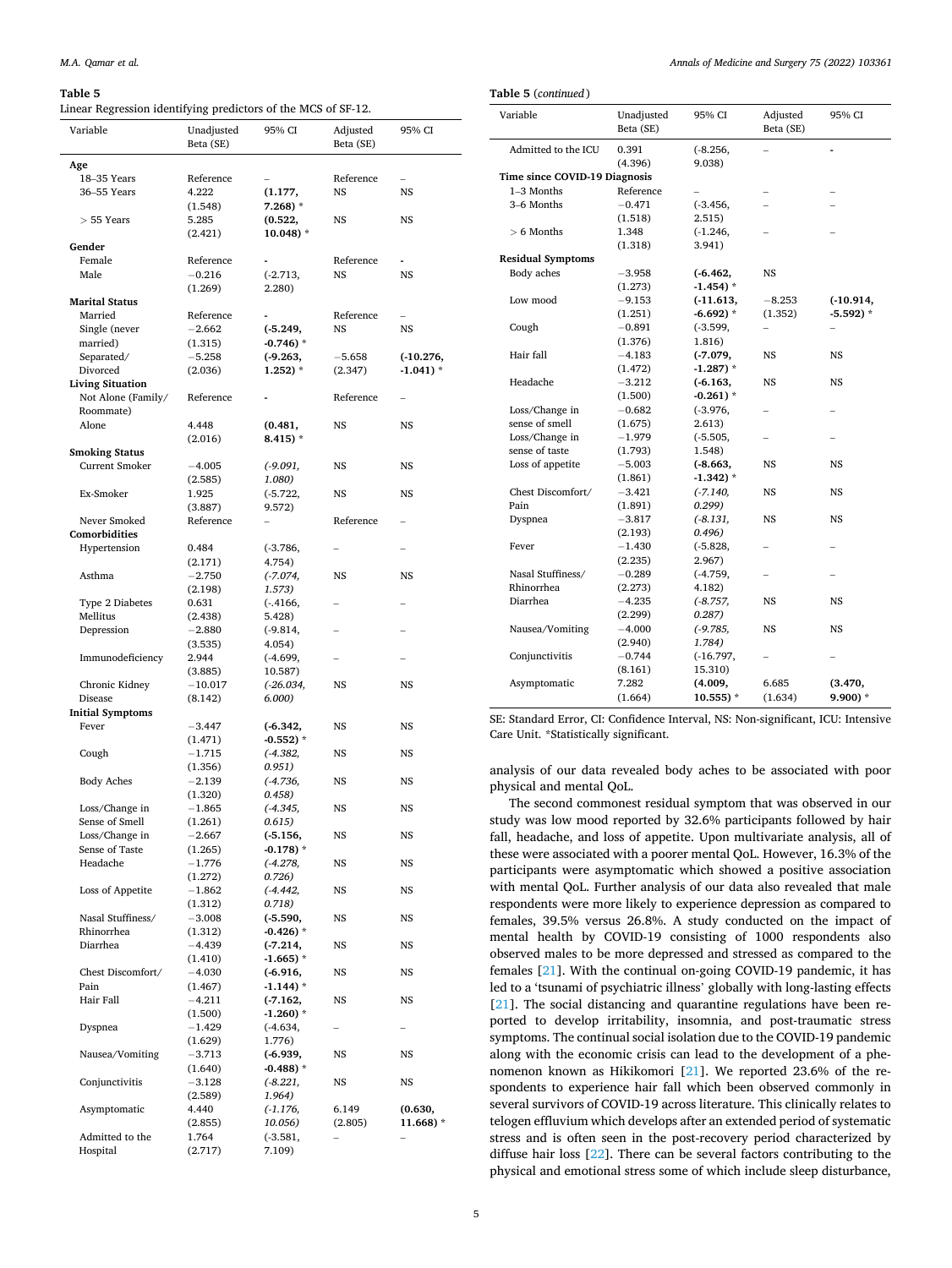#### <span id="page-6-0"></span>**Table 5**

Linear Regression identifying predictors of the MCS of SF-12.

*Annals of Medicine and Surgery 75 (2022) 103361*

| ancar negression identifying predictors of the most of 51 Ta. |                         |                       |                          |             |
|---------------------------------------------------------------|-------------------------|-----------------------|--------------------------|-------------|
| Variable                                                      | Unadjusted<br>Beta (SE) | 95% CI                | Adjusted<br>Beta (SE)    | 95% CI      |
| Age                                                           |                         |                       |                          |             |
| 18-35 Years                                                   | Reference               |                       | Reference                |             |
| 36-55 Years                                                   | 4.222                   | (1.177,               | <b>NS</b>                | <b>NS</b>   |
|                                                               | (1.548)                 | $7.268$ <sup>*</sup>  |                          |             |
| $>$ 55 Years                                                  | 5.285                   | (0.522,               | NS                       | <b>NS</b>   |
|                                                               | (2.421)                 | $10.048$ ) *          |                          |             |
| Gender                                                        |                         |                       |                          |             |
| Female                                                        | Reference               |                       | Reference                |             |
| Male                                                          | $-0.216$                | $(-2.713,$            | NS                       | NS          |
|                                                               | (1.269)                 | 2.280)                |                          |             |
| <b>Marital Status</b>                                         |                         |                       |                          |             |
|                                                               |                         |                       |                          |             |
| Married                                                       | Reference               |                       | Reference                |             |
| Single (never                                                 | $-2.662$                | $(-5.249,$            | <b>NS</b>                | NS          |
| married)                                                      | (1.315)                 | $-0.746$ ) *          |                          |             |
| Separated/                                                    | $-5.258$                | $(-9.263,$            | $-5.658$                 | $(-10.276,$ |
| Divorced                                                      | (2.036)                 | $1.252)$ *            | (2.347)                  | $-1.041$ *  |
| <b>Living Situation</b>                                       |                         |                       |                          |             |
| Not Alone (Family/                                            | Reference               |                       | Reference                |             |
| Roommate)                                                     |                         |                       |                          |             |
| Alone                                                         | 4.448                   | (0.481,               | NS                       | NS          |
|                                                               | (2.016)                 | $8.415$ ) *           |                          |             |
| <b>Smoking Status</b>                                         |                         |                       |                          |             |
| <b>Current Smoker</b>                                         | $-4.005$                | $(-9.091,$            | NS                       | NS.         |
|                                                               | (2.585)                 | 1.080)                |                          |             |
| Ex-Smoker                                                     | 1.925                   | $(-5.722,$            | NS                       | <b>NS</b>   |
|                                                               | (3.887)                 | 9.572)                |                          |             |
|                                                               |                         |                       | Reference                |             |
| Never Smoked                                                  | Reference               |                       |                          |             |
| Comorbidities                                                 |                         |                       |                          |             |
| Hypertension                                                  | 0.484                   | $(-3.786,$            | $\overline{\phantom{0}}$ |             |
|                                                               | (2.171)                 | 4.754)                |                          |             |
| Asthma                                                        | $-2.750$                | $(-7.074,$            | NS                       | <b>NS</b>   |
|                                                               | (2.198)                 | 1.573)                |                          |             |
| Type 2 Diabetes                                               | 0.631                   | $(-.4166,$            |                          |             |
| Mellitus                                                      | (2.438)                 | 5.428)                |                          |             |
| Depression                                                    | $^{-2.880}$             | $(-9.814,$            | $\overline{\phantom{0}}$ |             |
|                                                               | (3.535)                 | 4.054)                |                          |             |
| Immunodeficiency                                              | 2.944                   | $(-4.699,$            |                          |             |
|                                                               | (3.885)                 | 10.587)               |                          |             |
| Chronic Kidney                                                | $-10.017$               | $(-26.034,$           | NS                       | NS          |
| Disease                                                       | (8.142)                 | 6.000)                |                          |             |
| <b>Initial Symptoms</b>                                       |                         |                       |                          |             |
| Fever                                                         |                         |                       | NS                       | NS          |
|                                                               | -3.447                  | $(-6.342,$            |                          |             |
|                                                               | (1.471)                 | $-0.552$ ) *          |                          |             |
| Cough                                                         | $-1.715$                | $(-4.382,$            | NS                       | NS.         |
|                                                               | (1.356)                 | 0.951)                |                          |             |
| <b>Body Aches</b>                                             | $-2.139$                | $(-4.736,$            | NS                       | NS          |
|                                                               | (1.320)                 | 0.458)                |                          |             |
| Loss/Change in                                                | $-1.865$                | $(-4.345,$            | NS                       | NS          |
| Sense of Smell                                                | (1.261)                 | 0.615)                |                          |             |
| Loss/Change in                                                | $-2.667$                | $(-5.156,$            | NS                       | NS          |
| Sense of Taste                                                | (1.265)                 | $-0.178$ ) *          |                          |             |
| Headache                                                      | $-1.776$                | $(-4.278,$            | NS                       | NS          |
|                                                               | (1.272)                 | 0.726)                |                          |             |
| Loss of Appetite                                              | $-1.862$                | $(-4.442,$            | NS                       | NS          |
|                                                               | (1.312)                 | 0.718)                |                          |             |
| Nasal Stuffiness/                                             | $-3.008$                | $(-5.590,$            | NS                       | NS          |
| Rhinorrhea                                                    | (1.312)                 | $-0.426$ ) *          |                          |             |
| Diarrhea                                                      | $-4.439$                | $(-7.214,$            | NS                       | NS          |
|                                                               | (1.410)                 | $-1.665$ ) *          |                          |             |
| Chest Discomfort/                                             | $-4.030$                | (-6.916,              | NS                       | NS          |
|                                                               |                         |                       |                          |             |
| Pain                                                          | (1.467)                 | $-1.144$ ) *          |                          |             |
| Hair Fall                                                     | -4.211                  | $(-7.162,$            | NS                       | NS          |
|                                                               | (1.500)                 | $-1.260$ <sup>*</sup> |                          |             |
| Dyspnea                                                       | $-1.429$                | $(-4.634,$            | -                        |             |
|                                                               | (1.629)                 | 1.776)                |                          |             |
| Nausea/Vomiting                                               | $-3.713$                | $(-6.939,$            | NS                       | NS          |
|                                                               | (1.640)                 | $-0.488$ ) *          |                          |             |
| Conjunctivitis                                                | $-3.128$                | $(-8.221,$            | NS                       | NS          |
|                                                               | (2.589)                 | 1.964)                |                          |             |
| Asymptomatic                                                  | 4.440                   | $(-1.176,$            | 6.149                    | (0.630,     |
|                                                               | (2.855)                 | 10.056)               | (2.805)                  | 11.668) *   |
| Admitted to the                                               | 1.764                   | $(-3.581,$            |                          |             |
| Hospital                                                      | (2.717)                 | 7.109)                |                          |             |

| Variable                      | Unadjusted<br>Beta (SE) | 95% CI       | Adjusted<br>Beta (SE)    | 95% CI       |
|-------------------------------|-------------------------|--------------|--------------------------|--------------|
| Admitted to the ICU           | 0.391                   | $(-8.256,$   |                          |              |
|                               | (4.396)                 | 9.038)       |                          |              |
| Time since COVID-19 Diagnosis |                         |              |                          |              |
| 1-3 Months                    | Reference               |              |                          |              |
| 3-6 Months                    | $-0.471$                | $(-3.456,$   |                          |              |
|                               | (1.518)                 | 2.515)       |                          |              |
| $> 6$ Months                  | 1.348                   | $(-1.246,$   |                          |              |
|                               | (1.318)                 | 3.941)       |                          |              |
| <b>Residual Symptoms</b>      |                         |              |                          |              |
| Body aches                    | $-3.958$                | $(-6.462,$   | <b>NS</b>                |              |
|                               | (1.273)                 | $-1.454$ ) * |                          |              |
| Low mood                      | $-9.153$                | $(-11.613,$  | $-8.253$                 | $(-10.914,$  |
|                               | (1.251)                 | $-6.692)$ *  | (1.352)                  | $-5.592$ ) * |
| Cough                         | $-0.891$                | $(-3.599,$   | $\overline{\phantom{0}}$ |              |
|                               | (1.376)                 | 1.816)       |                          |              |
| Hair fall                     | $-4.183$                | $(-7.079,$   | NS                       | NS           |
|                               | (1.472)                 | $-1.287$ ) * |                          |              |
| Headache                      | $-3.212$                | $(-6.163,$   | NS                       | <b>NS</b>    |
|                               | (1.500)                 | $-0.261$ *   |                          |              |
| Loss/Change in                | $-0.682$                | $(-3.976,$   |                          |              |
| sense of smell                | (1.675)                 | 2.613)       |                          |              |
| Loss/Change in                | $-1.979$                | $(-5.505,$   |                          |              |
| sense of taste                | (1.793)                 | 1.548)       |                          |              |
| Loss of appetite              | $-5.003$                | $(-8.663,$   | <b>NS</b>                | <b>NS</b>    |
|                               | (1.861)                 | $-1.342)$ *  |                          |              |
| Chest Discomfort/             | $-3.421$                | $(-7.140,$   | <b>NS</b>                | <b>NS</b>    |
| Pain                          | (1.891)                 | 0.299)       |                          |              |
| Dyspnea                       | $-3.817$                | $(-8.131,$   | <b>NS</b>                | <b>NS</b>    |
|                               | (2.193)                 | 0.496)       |                          |              |
| Fever                         | $-1.430$                | $(-5.828,$   |                          |              |
|                               | (2.235)                 | 2.967)       |                          |              |
| Nasal Stuffiness/             | $-0.289$                | $(-4.759,$   | $\overline{\phantom{0}}$ |              |
| Rhinorrhea                    | (2.273)                 | 4.182)       |                          |              |
| Diarrhea                      | $-4.235$                | $(-8.757,$   | NS                       | NS           |
|                               | (2.299)                 | 0.287)       |                          |              |
| Nausea/Vomiting               | $-4.000$                | $(-9.785,$   | NS                       | NS           |
|                               | (2.940)                 | 1.784)       |                          |              |
| Conjunctivitis                | $-0.744$                | $(-16.797,$  | -                        |              |
|                               | (8.161)                 | 15.310)      |                          |              |
| Asymptomatic                  | 7.282                   | (4.009,      | 6.685                    | (3.470,      |
|                               | (1.664)                 | $10.555$ ) * | (1.634)                  | 9.900) *     |

SE: Standard Error, CI: Confidence Interval, NS: Non-significant, ICU: Intensive Care Unit. \*Statistically significant.

analysis of our data revealed body aches to be associated with poor physical and mental QoL.

The second commonest residual symptom that was observed in our study was low mood reported by 32.6% participants followed by hair fall, headache, and loss of appetite. Upon multivariate analysis, all of these were associated with a poorer mental QoL. However, 16.3% of the participants were asymptomatic which showed a positive association with mental QoL. Further analysis of our data also revealed that male respondents were more likely to experience depression as compared to females, 39.5% versus 26.8%. A study conducted on the impact of mental health by COVID-19 consisting of 1000 respondents also observed males to be more depressed and stressed as compared to the females [\[21](#page-8-0)]. With the continual on-going COVID-19 pandemic, it has led to a 'tsunami of psychiatric illness' globally with long-lasting effects [[21\]](#page-8-0). The social distancing and quarantine regulations have been reported to develop irritability, insomnia, and post-traumatic stress symptoms. The continual social isolation due to the COVID-19 pandemic along with the economic crisis can lead to the development of a phenomenon known as Hikikomori [\[21](#page-8-0)]. We reported 23.6% of the respondents to experience hair fall which been observed commonly in several survivors of COVID-19 across literature. This clinically relates to telogen effluvium which develops after an extended period of systematic stress and is often seen in the post-recovery period characterized by diffuse hair loss [\[22](#page-8-0)]. There can be several factors contributing to the physical and emotional stress some of which include sleep disturbance,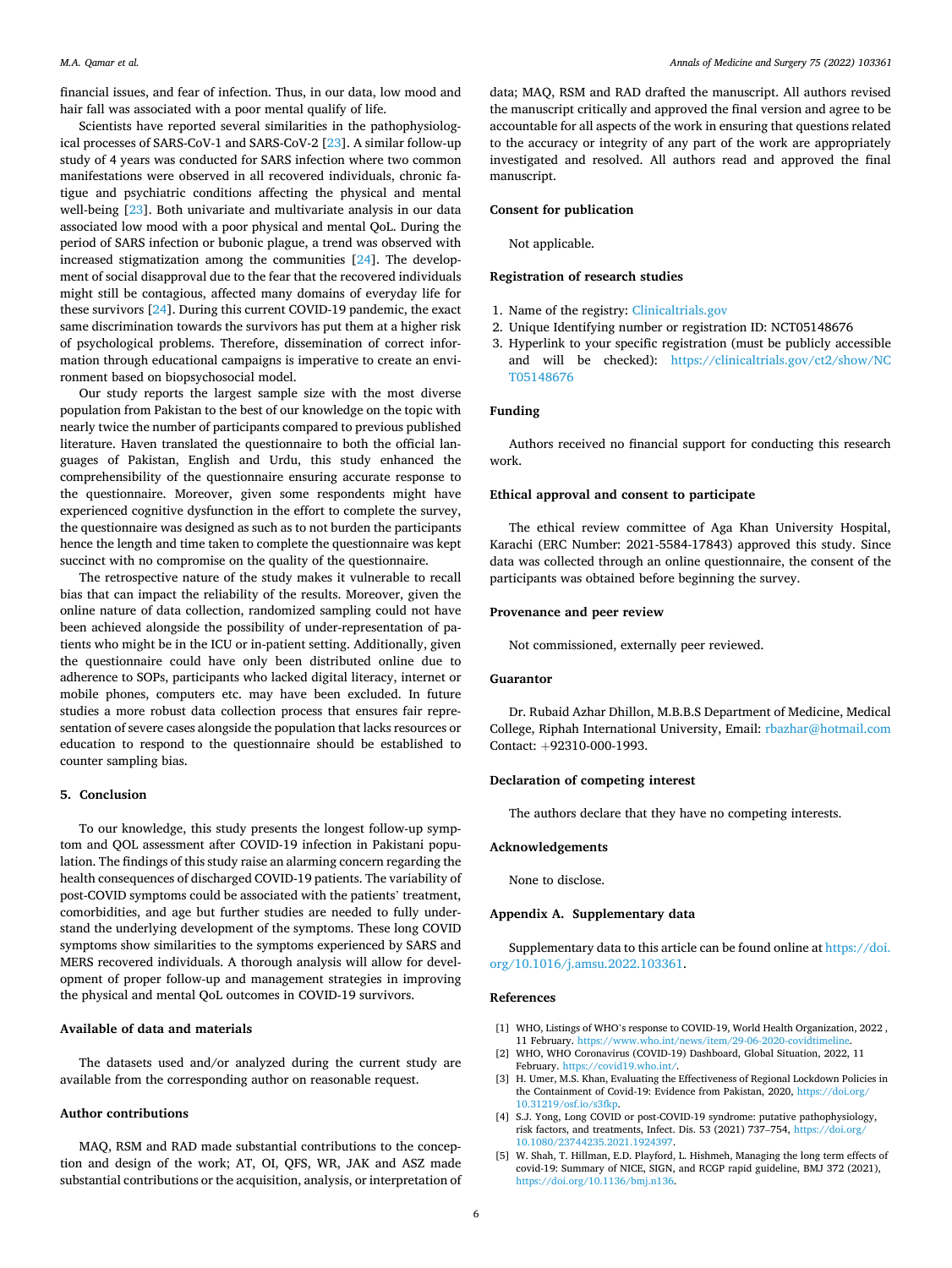<span id="page-7-0"></span>financial issues, and fear of infection. Thus, in our data, low mood and hair fall was associated with a poor mental qualify of life.

Scientists have reported several similarities in the pathophysiological processes of SARS-CoV-1 and SARS-CoV-2 [[23\]](#page-8-0). A similar follow-up study of 4 years was conducted for SARS infection where two common manifestations were observed in all recovered individuals, chronic fatigue and psychiatric conditions affecting the physical and mental well-being [[23\]](#page-8-0). Both univariate and multivariate analysis in our data associated low mood with a poor physical and mental QoL. During the period of SARS infection or bubonic plague, a trend was observed with increased stigmatization among the communities [\[24](#page-8-0)]. The development of social disapproval due to the fear that the recovered individuals might still be contagious, affected many domains of everyday life for these survivors [\[24](#page-8-0)]. During this current COVID-19 pandemic, the exact same discrimination towards the survivors has put them at a higher risk of psychological problems. Therefore, dissemination of correct information through educational campaigns is imperative to create an environment based on biopsychosocial model.

Our study reports the largest sample size with the most diverse population from Pakistan to the best of our knowledge on the topic with nearly twice the number of participants compared to previous published literature. Haven translated the questionnaire to both the official languages of Pakistan, English and Urdu, this study enhanced the comprehensibility of the questionnaire ensuring accurate response to the questionnaire. Moreover, given some respondents might have experienced cognitive dysfunction in the effort to complete the survey, the questionnaire was designed as such as to not burden the participants hence the length and time taken to complete the questionnaire was kept succinct with no compromise on the quality of the questionnaire.

The retrospective nature of the study makes it vulnerable to recall bias that can impact the reliability of the results. Moreover, given the online nature of data collection, randomized sampling could not have been achieved alongside the possibility of under-representation of patients who might be in the ICU or in-patient setting. Additionally, given the questionnaire could have only been distributed online due to adherence to SOPs, participants who lacked digital literacy, internet or mobile phones, computers etc. may have been excluded. In future studies a more robust data collection process that ensures fair representation of severe cases alongside the population that lacks resources or education to respond to the questionnaire should be established to counter sampling bias.

#### **5. Conclusion**

To our knowledge, this study presents the longest follow-up symptom and QOL assessment after COVID-19 infection in Pakistani population. The findings of this study raise an alarming concern regarding the health consequences of discharged COVID-19 patients. The variability of post-COVID symptoms could be associated with the patients' treatment, comorbidities, and age but further studies are needed to fully understand the underlying development of the symptoms. These long COVID symptoms show similarities to the symptoms experienced by SARS and MERS recovered individuals. A thorough analysis will allow for development of proper follow-up and management strategies in improving the physical and mental QoL outcomes in COVID-19 survivors.

#### **Available of data and materials**

The datasets used and/or analyzed during the current study are available from the corresponding author on reasonable request.

#### **Author contributions**

MAQ, RSM and RAD made substantial contributions to the conception and design of the work; AT, OI, QFS, WR, JAK and ASZ made substantial contributions or the acquisition, analysis, or interpretation of

data; MAQ, RSM and RAD drafted the manuscript. All authors revised the manuscript critically and approved the final version and agree to be accountable for all aspects of the work in ensuring that questions related to the accuracy or integrity of any part of the work are appropriately investigated and resolved. All authors read and approved the final manuscript.

#### **Consent for publication**

Not applicable.

#### **Registration of research studies**

- 1. Name of the registry: [Clinicaltrials.gov](http://Clinicaltrials.gov)
- 2. Unique Identifying number or registration ID: NCT05148676
- 3. Hyperlink to your specific registration (must be publicly accessible and will be checked): [https://clinicaltrials.gov/ct2/show/NC](https://clinicaltrials.gov/ct2/show/NCT05148676)  [T05148676](https://clinicaltrials.gov/ct2/show/NCT05148676)

#### **Funding**

Authors received no financial support for conducting this research work.

#### **Ethical approval and consent to participate**

The ethical review committee of Aga Khan University Hospital, Karachi (ERC Number: 2021-5584-17843) approved this study. Since data was collected through an online questionnaire, the consent of the participants was obtained before beginning the survey.

#### **Provenance and peer review**

Not commissioned, externally peer reviewed.

#### **Guarantor**

Dr. Rubaid Azhar Dhillon, M.B.B.S Department of Medicine, Medical College, Riphah International University, Email: [rbazhar@hotmail.com](mailto:rbazhar@hotmail.com)  Contact: +92310-000-1993.

#### **Declaration of competing interest**

The authors declare that they have no competing interests.

#### **Acknowledgements**

None to disclose.

#### **Appendix A. Supplementary data**

Supplementary data to this article can be found online at [https://doi.](https://doi.org/10.1016/j.amsu.2022.103361)  [org/10.1016/j.amsu.2022.103361.](https://doi.org/10.1016/j.amsu.2022.103361)

#### **References**

- [1] WHO, Listings of WHO's response to COVID-19, World Health Organization, 2022 , 11 February. https://www.who.int/news/item/29-06-2020-covidtimelin
- [2] WHO, WHO Coronavirus (COVID-19) Dashboard, Global Situation, 2022, 11 February. <https://covid19.who.int/>.
- [3] H. Umer, M.S. Khan, Evaluating the Effectiveness of Regional Lockdown Policies in the Containment of Covid-19: Evidence from Pakistan, 2020, [https://doi.org/](https://doi.org/10.31219/osf.io/s3fkp) [10.31219/osf.io/s3fkp.](https://doi.org/10.31219/osf.io/s3fkp)
- [4] S.J. Yong, Long COVID or post-COVID-19 syndrome: putative pathophysiology, risk factors, and treatments, Infect. Dis. 53 (2021) 737–754, [https://doi.org/](https://doi.org/10.1080/23744235.2021.1924397) [10.1080/23744235.2021.1924397](https://doi.org/10.1080/23744235.2021.1924397).
- [5] W. Shah, T. Hillman, E.D. Playford, L. Hishmeh, Managing the long term effects of covid-19: Summary of NICE, SIGN, and RCGP rapid guideline, BMJ 372 (2021), [https://doi.org/10.1136/bmj.n136.](https://doi.org/10.1136/bmj.n136)